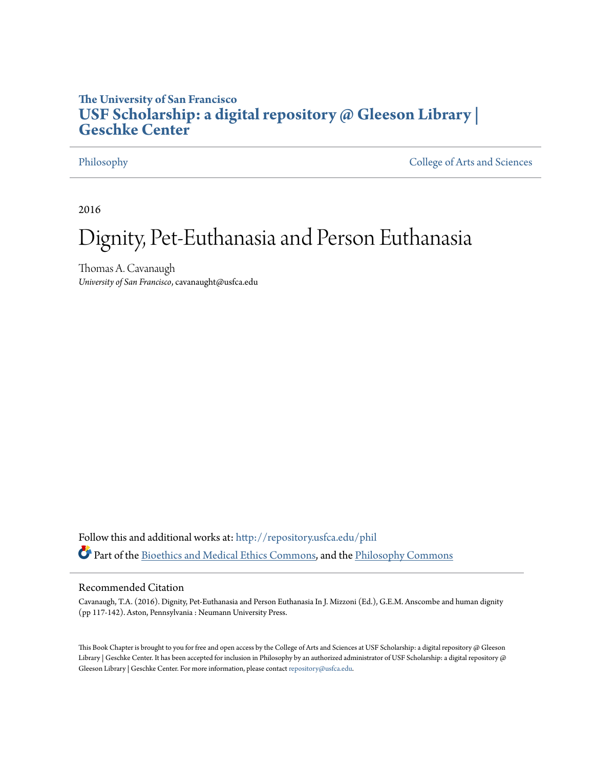# **The University of San Francisco [USF Scholarship: a digital repository @ Gleeson Library |](http://repository.usfca.edu?utm_source=repository.usfca.edu%2Fphil%2F55&utm_medium=PDF&utm_campaign=PDFCoverPages) [Geschke Center](http://repository.usfca.edu?utm_source=repository.usfca.edu%2Fphil%2F55&utm_medium=PDF&utm_campaign=PDFCoverPages)**

[Philosophy](http://repository.usfca.edu/phil?utm_source=repository.usfca.edu%2Fphil%2F55&utm_medium=PDF&utm_campaign=PDFCoverPages) [College of Arts and Sciences](http://repository.usfca.edu/artsci?utm_source=repository.usfca.edu%2Fphil%2F55&utm_medium=PDF&utm_campaign=PDFCoverPages)

2016

# Dignity, Pet-Euthanasia and Person Euthanasia

Thomas A. Cavanaugh *University of San Francisco*, cavanaught@usfca.edu

Follow this and additional works at: [http://repository.usfca.edu/phil](http://repository.usfca.edu/phil?utm_source=repository.usfca.edu%2Fphil%2F55&utm_medium=PDF&utm_campaign=PDFCoverPages) Part of the [Bioethics and Medical Ethics Commons,](http://network.bepress.com/hgg/discipline/650?utm_source=repository.usfca.edu%2Fphil%2F55&utm_medium=PDF&utm_campaign=PDFCoverPages) and the [Philosophy Commons](http://network.bepress.com/hgg/discipline/525?utm_source=repository.usfca.edu%2Fphil%2F55&utm_medium=PDF&utm_campaign=PDFCoverPages)

#### Recommended Citation

Cavanaugh, T.A. (2016). Dignity, Pet-Euthanasia and Person Euthanasia In J. Mizzoni (Ed.), G.E.M. Anscombe and human dignity (pp 117-142). Aston, Pennsylvania : Neumann University Press.

This Book Chapter is brought to you for free and open access by the College of Arts and Sciences at USF Scholarship: a digital repository @ Gleeson Library | Geschke Center. It has been accepted for inclusion in Philosophy by an authorized administrator of USF Scholarship: a digital repository @ Gleeson Library | Geschke Center. For more information, please contact [repository@usfca.edu](mailto:repository@usfca.edu).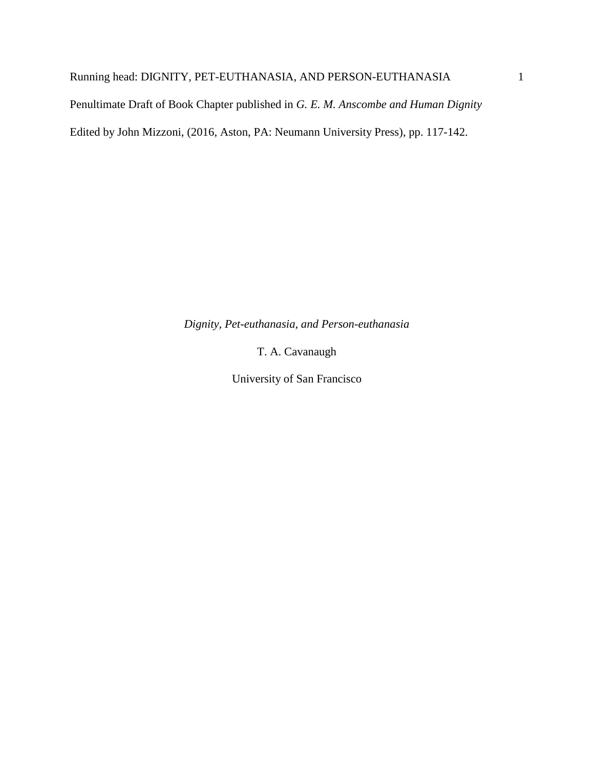## Running head: DIGNITY, PET-EUTHANASIA, AND PERSON-EUTHANASIA 1

Penultimate Draft of Book Chapter published in *G. E. M. Anscombe and Human Dignity*

Edited by John Mizzoni, (2016, Aston, PA: Neumann University Press), pp. 117-142.

*Dignity, Pet-euthanasia, and Person-euthanasia*

T. A. Cavanaugh

University of San Francisco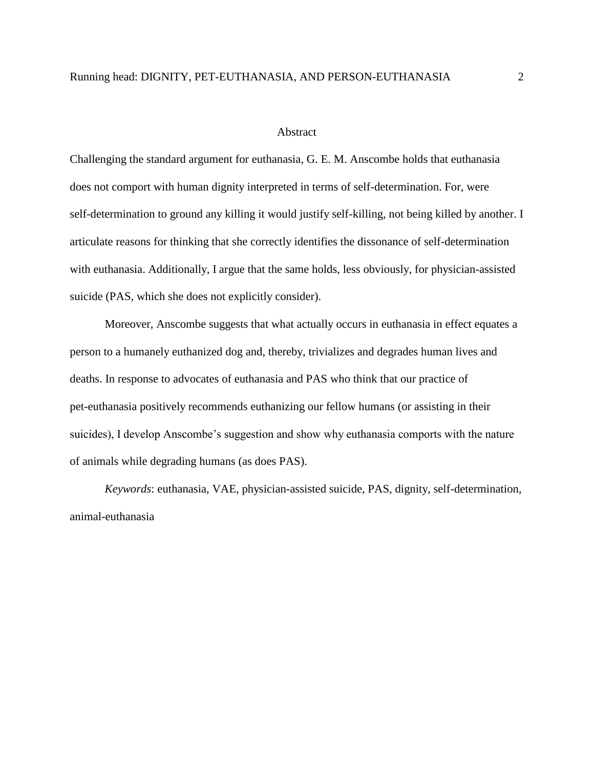#### Abstract

Challenging the standard argument for euthanasia, G. E. M. Anscombe holds that euthanasia does not comport with human dignity interpreted in terms of self-determination. For, were self-determination to ground any killing it would justify self-killing, not being killed by another. I articulate reasons for thinking that she correctly identifies the dissonance of self-determination with euthanasia. Additionally, I argue that the same holds, less obviously, for physician-assisted suicide (PAS, which she does not explicitly consider).

Moreover, Anscombe suggests that what actually occurs in euthanasia in effect equates a person to a humanely euthanized dog and, thereby, trivializes and degrades human lives and deaths. In response to advocates of euthanasia and PAS who think that our practice of pet-euthanasia positively recommends euthanizing our fellow humans (or assisting in their suicides), I develop Anscombe's suggestion and show why euthanasia comports with the nature of animals while degrading humans (as does PAS).

*Keywords*: euthanasia, VAE, physician-assisted suicide, PAS, dignity, self-determination, animal-euthanasia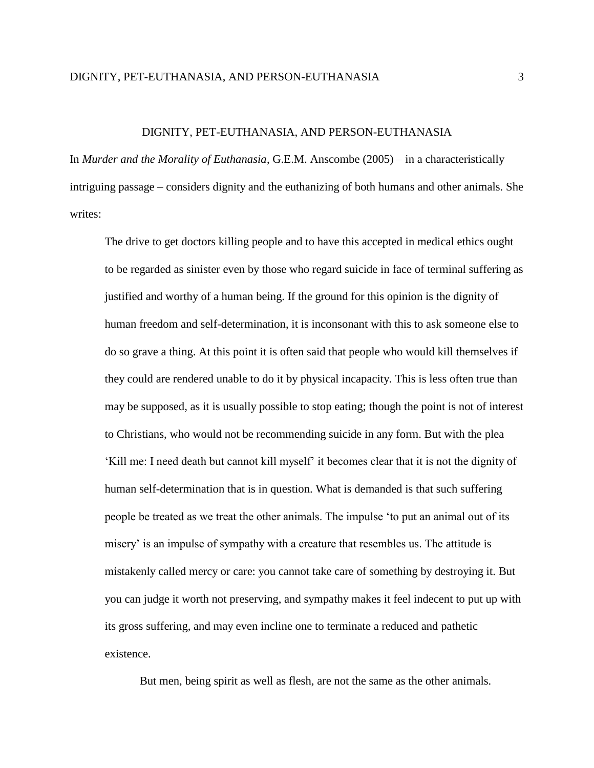In *Murder and the Morality of Euthanasia*, G.E.M. Anscombe (2005) – in a characteristically intriguing passage – considers dignity and the euthanizing of both humans and other animals. She writes:

The drive to get doctors killing people and to have this accepted in medical ethics ought to be regarded as sinister even by those who regard suicide in face of terminal suffering as justified and worthy of a human being. If the ground for this opinion is the dignity of human freedom and self-determination, it is inconsonant with this to ask someone else to do so grave a thing. At this point it is often said that people who would kill themselves if they could are rendered unable to do it by physical incapacity. This is less often true than may be supposed, as it is usually possible to stop eating; though the point is not of interest to Christians, who would not be recommending suicide in any form. But with the plea 'Kill me: I need death but cannot kill myself' it becomes clear that it is not the dignity of human self-determination that is in question. What is demanded is that such suffering people be treated as we treat the other animals. The impulse 'to put an animal out of its misery' is an impulse of sympathy with a creature that resembles us. The attitude is mistakenly called mercy or care: you cannot take care of something by destroying it. But you can judge it worth not preserving, and sympathy makes it feel indecent to put up with its gross suffering, and may even incline one to terminate a reduced and pathetic existence.

But men, being spirit as well as flesh, are not the same as the other animals.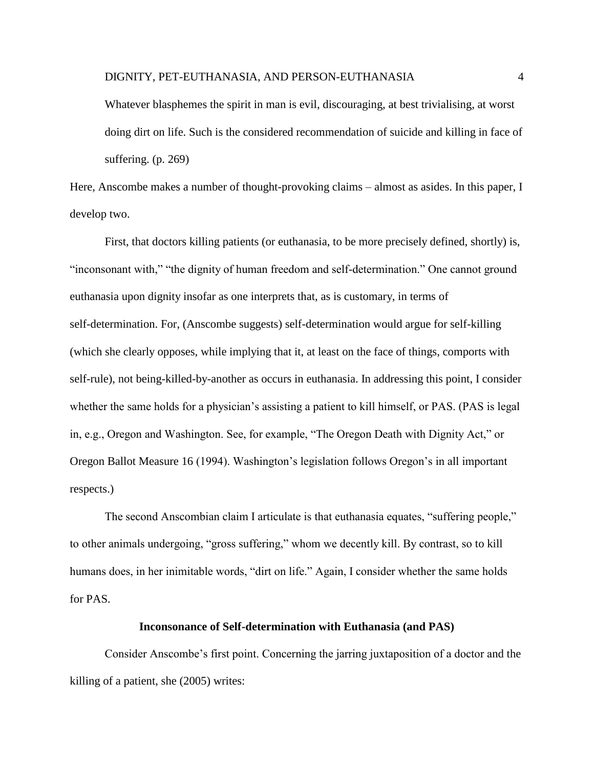Whatever blasphemes the spirit in man is evil, discouraging, at best trivialising, at worst doing dirt on life. Such is the considered recommendation of suicide and killing in face of suffering. (p. 269)

Here, Anscombe makes a number of thought-provoking claims – almost as asides. In this paper, I develop two.

First, that doctors killing patients (or euthanasia, to be more precisely defined, shortly) is, "inconsonant with," "the dignity of human freedom and self-determination." One cannot ground euthanasia upon dignity insofar as one interprets that, as is customary, in terms of self-determination. For, (Anscombe suggests) self-determination would argue for self-killing (which she clearly opposes, while implying that it, at least on the face of things, comports with self-rule), not being-killed-by-another as occurs in euthanasia. In addressing this point, I consider whether the same holds for a physician's assisting a patient to kill himself, or PAS. (PAS is legal in, e.g., Oregon and Washington. See, for example, "The Oregon Death with Dignity Act," or Oregon Ballot Measure 16 (1994). Washington's legislation follows Oregon's in all important respects.)

The second Anscombian claim I articulate is that euthanasia equates, "suffering people," to other animals undergoing, "gross suffering," whom we decently kill. By contrast, so to kill humans does, in her inimitable words, "dirt on life." Again, I consider whether the same holds for PAS.

#### **Inconsonance of Self-determination with Euthanasia (and PAS)**

Consider Anscombe's first point. Concerning the jarring juxtaposition of a doctor and the killing of a patient, she (2005) writes: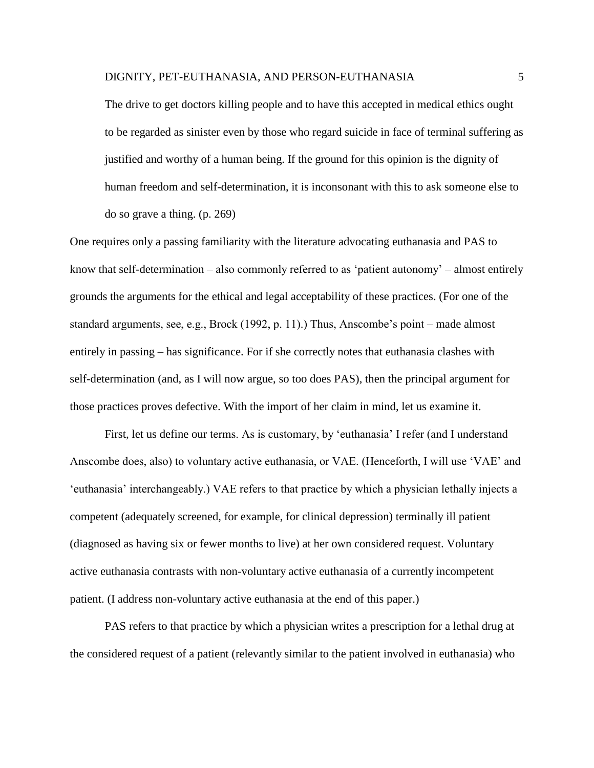The drive to get doctors killing people and to have this accepted in medical ethics ought to be regarded as sinister even by those who regard suicide in face of terminal suffering as justified and worthy of a human being. If the ground for this opinion is the dignity of human freedom and self-determination, it is inconsonant with this to ask someone else to do so grave a thing. (p. 269)

One requires only a passing familiarity with the literature advocating euthanasia and PAS to know that self-determination – also commonly referred to as 'patient autonomy' – almost entirely grounds the arguments for the ethical and legal acceptability of these practices. (For one of the standard arguments, see, e.g., Brock (1992, p. 11).) Thus, Anscombe's point – made almost entirely in passing – has significance. For if she correctly notes that euthanasia clashes with self-determination (and, as I will now argue, so too does PAS), then the principal argument for those practices proves defective. With the import of her claim in mind, let us examine it.

First, let us define our terms. As is customary, by 'euthanasia' I refer (and I understand Anscombe does, also) to voluntary active euthanasia, or VAE. (Henceforth, I will use 'VAE' and 'euthanasia' interchangeably.) VAE refers to that practice by which a physician lethally injects a competent (adequately screened, for example, for clinical depression) terminally ill patient (diagnosed as having six or fewer months to live) at her own considered request. Voluntary active euthanasia contrasts with non-voluntary active euthanasia of a currently incompetent patient. (I address non-voluntary active euthanasia at the end of this paper.)

PAS refers to that practice by which a physician writes a prescription for a lethal drug at the considered request of a patient (relevantly similar to the patient involved in euthanasia) who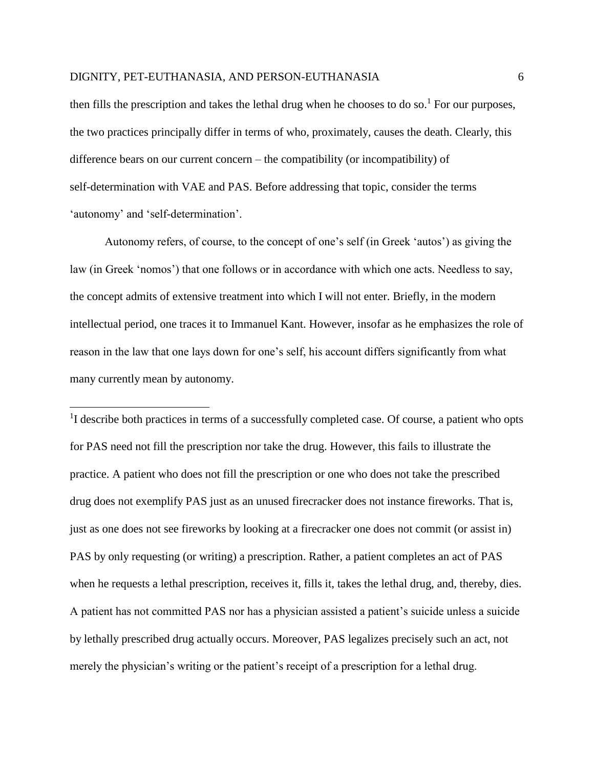$\overline{a}$ 

then fills the prescription and takes the lethal drug when he chooses to do so.<sup>1</sup> For our purposes, the two practices principally differ in terms of who, proximately, causes the death. Clearly, this difference bears on our current concern – the compatibility (or incompatibility) of self-determination with VAE and PAS. Before addressing that topic, consider the terms 'autonomy' and 'self-determination'.

Autonomy refers, of course, to the concept of one's self (in Greek 'autos') as giving the law (in Greek 'nomos') that one follows or in accordance with which one acts. Needless to say, the concept admits of extensive treatment into which I will not enter. Briefly, in the modern intellectual period, one traces it to Immanuel Kant. However, insofar as he emphasizes the role of reason in the law that one lays down for one's self, his account differs significantly from what many currently mean by autonomy.

<sup>1</sup>I describe both practices in terms of a successfully completed case. Of course, a patient who opts for PAS need not fill the prescription nor take the drug. However, this fails to illustrate the practice. A patient who does not fill the prescription or one who does not take the prescribed drug does not exemplify PAS just as an unused firecracker does not instance fireworks. That is, just as one does not see fireworks by looking at a firecracker one does not commit (or assist in) PAS by only requesting (or writing) a prescription. Rather, a patient completes an act of PAS when he requests a lethal prescription, receives it, fills it, takes the lethal drug, and, thereby, dies. A patient has not committed PAS nor has a physician assisted a patient's suicide unless a suicide by lethally prescribed drug actually occurs. Moreover, PAS legalizes precisely such an act, not merely the physician's writing or the patient's receipt of a prescription for a lethal drug.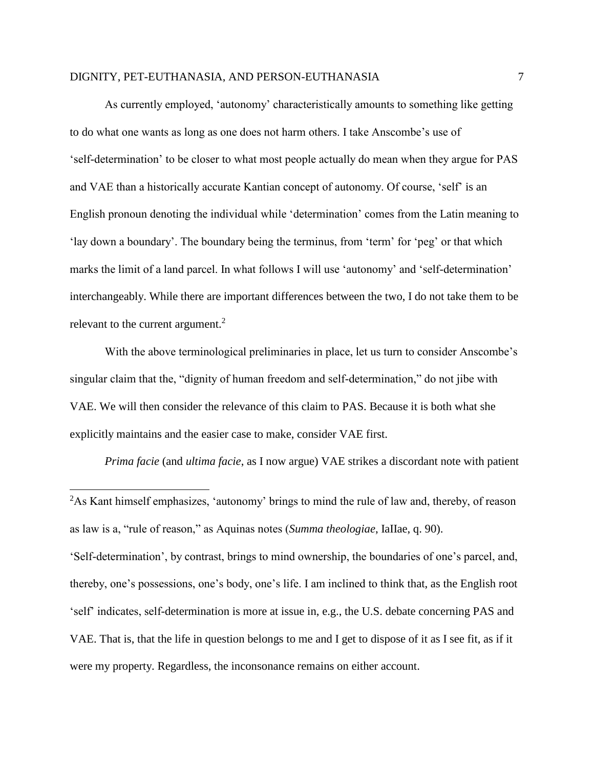As currently employed, 'autonomy' characteristically amounts to something like getting to do what one wants as long as one does not harm others. I take Anscombe's use of 'self-determination' to be closer to what most people actually do mean when they argue for PAS and VAE than a historically accurate Kantian concept of autonomy. Of course, 'self' is an English pronoun denoting the individual while 'determination' comes from the Latin meaning to 'lay down a boundary'. The boundary being the terminus, from 'term' for 'peg' or that which marks the limit of a land parcel. In what follows I will use 'autonomy' and 'self-determination' interchangeably. While there are important differences between the two, I do not take them to be relevant to the current argument.<sup>2</sup>

With the above terminological preliminaries in place, let us turn to consider Anscombe's singular claim that the, "dignity of human freedom and self-determination," do not jibe with VAE. We will then consider the relevance of this claim to PAS. Because it is both what she explicitly maintains and the easier case to make, consider VAE first.

*Prima facie* (and *ultima facie*, as I now argue) VAE strikes a discordant note with patient

 $\overline{\phantom{a}}$ <sup>2</sup>As Kant himself emphasizes, 'autonomy' brings to mind the rule of law and, thereby, of reason as law is a, "rule of reason," as Aquinas notes (*Summa theologiae*, IaIIae, q. 90). 'Self-determination', by contrast, brings to mind ownership, the boundaries of one's parcel, and, thereby, one's possessions, one's body, one's life. I am inclined to think that, as the English root 'self' indicates, self-determination is more at issue in, e.g., the U.S. debate concerning PAS and VAE. That is, that the life in question belongs to me and I get to dispose of it as I see fit, as if it were my property. Regardless, the inconsonance remains on either account.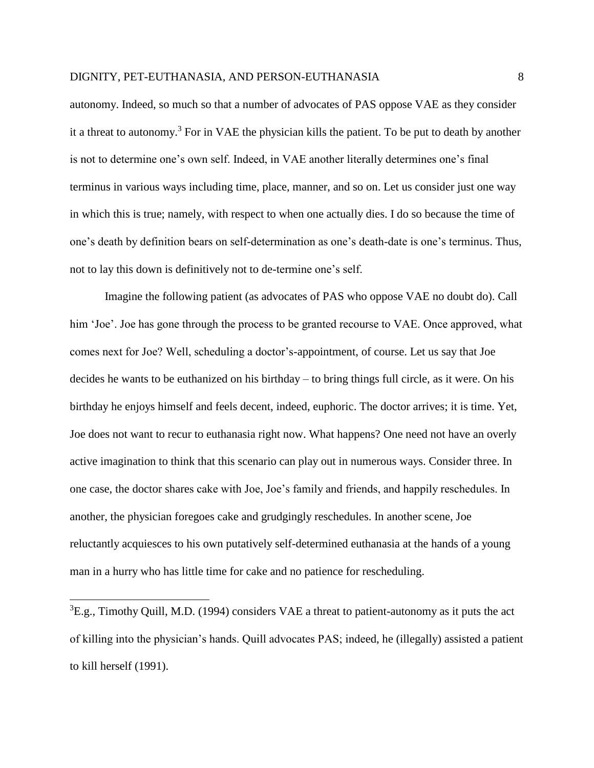autonomy. Indeed, so much so that a number of advocates of PAS oppose VAE as they consider it a threat to autonomy.<sup>3</sup> For in VAE the physician kills the patient. To be put to death by another is not to determine one's own self. Indeed, in VAE another literally determines one's final terminus in various ways including time, place, manner, and so on. Let us consider just one way in which this is true; namely, with respect to when one actually dies. I do so because the time of one's death by definition bears on self-determination as one's death-date is one's terminus. Thus, not to lay this down is definitively not to de-termine one's self.

Imagine the following patient (as advocates of PAS who oppose VAE no doubt do). Call him 'Joe'. Joe has gone through the process to be granted recourse to VAE. Once approved, what comes next for Joe? Well, scheduling a doctor's-appointment, of course. Let us say that Joe decides he wants to be euthanized on his birthday – to bring things full circle, as it were. On his birthday he enjoys himself and feels decent, indeed, euphoric. The doctor arrives; it is time. Yet, Joe does not want to recur to euthanasia right now. What happens? One need not have an overly active imagination to think that this scenario can play out in numerous ways. Consider three. In one case, the doctor shares cake with Joe, Joe's family and friends, and happily reschedules. In another, the physician foregoes cake and grudgingly reschedules. In another scene, Joe reluctantly acquiesces to his own putatively self-determined euthanasia at the hands of a young man in a hurry who has little time for cake and no patience for rescheduling.

 $\overline{\phantom{a}}$ 

 ${}^{3}E.g.,$  Timothy Quill, M.D. (1994) considers VAE a threat to patient-autonomy as it puts the act of killing into the physician's hands. Quill advocates PAS; indeed, he (illegally) assisted a patient to kill herself (1991).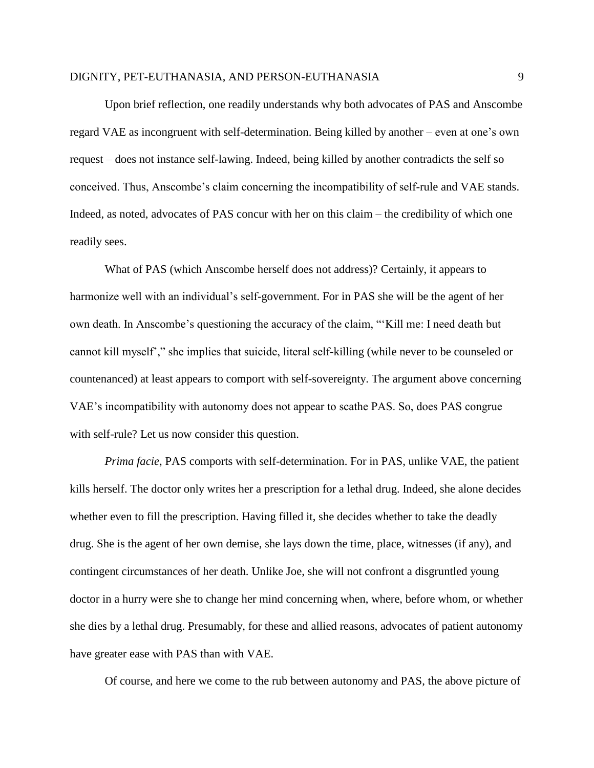Upon brief reflection, one readily understands why both advocates of PAS and Anscombe regard VAE as incongruent with self-determination. Being killed by another – even at one's own request – does not instance self-lawing. Indeed, being killed by another contradicts the self so conceived. Thus, Anscombe's claim concerning the incompatibility of self-rule and VAE stands. Indeed, as noted, advocates of PAS concur with her on this claim – the credibility of which one readily sees.

What of PAS (which Anscombe herself does not address)? Certainly, it appears to harmonize well with an individual's self-government. For in PAS she will be the agent of her own death. In Anscombe's questioning the accuracy of the claim, "'Kill me: I need death but cannot kill myself'," she implies that suicide, literal self-killing (while never to be counseled or countenanced) at least appears to comport with self-sovereignty. The argument above concerning VAE's incompatibility with autonomy does not appear to scathe PAS. So, does PAS congrue with self-rule? Let us now consider this question.

*Prima facie*, PAS comports with self-determination. For in PAS, unlike VAE, the patient kills herself. The doctor only writes her a prescription for a lethal drug. Indeed, she alone decides whether even to fill the prescription. Having filled it, she decides whether to take the deadly drug. She is the agent of her own demise, she lays down the time, place, witnesses (if any), and contingent circumstances of her death. Unlike Joe, she will not confront a disgruntled young doctor in a hurry were she to change her mind concerning when, where, before whom, or whether she dies by a lethal drug. Presumably, for these and allied reasons, advocates of patient autonomy have greater ease with PAS than with VAE.

Of course, and here we come to the rub between autonomy and PAS, the above picture of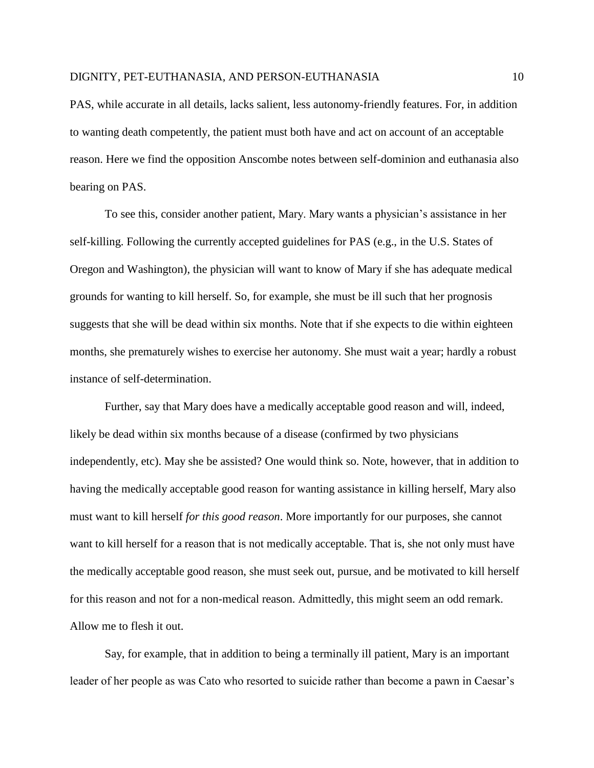PAS, while accurate in all details, lacks salient, less autonomy-friendly features. For, in addition to wanting death competently, the patient must both have and act on account of an acceptable reason. Here we find the opposition Anscombe notes between self-dominion and euthanasia also bearing on PAS.

To see this, consider another patient, Mary. Mary wants a physician's assistance in her self-killing. Following the currently accepted guidelines for PAS (e.g., in the U.S. States of Oregon and Washington), the physician will want to know of Mary if she has adequate medical grounds for wanting to kill herself. So, for example, she must be ill such that her prognosis suggests that she will be dead within six months. Note that if she expects to die within eighteen months, she prematurely wishes to exercise her autonomy. She must wait a year; hardly a robust instance of self-determination.

Further, say that Mary does have a medically acceptable good reason and will, indeed, likely be dead within six months because of a disease (confirmed by two physicians independently, etc). May she be assisted? One would think so. Note, however, that in addition to having the medically acceptable good reason for wanting assistance in killing herself, Mary also must want to kill herself *for this good reason*. More importantly for our purposes, she cannot want to kill herself for a reason that is not medically acceptable. That is, she not only must have the medically acceptable good reason, she must seek out, pursue, and be motivated to kill herself for this reason and not for a non-medical reason. Admittedly, this might seem an odd remark. Allow me to flesh it out.

Say, for example, that in addition to being a terminally ill patient, Mary is an important leader of her people as was Cato who resorted to suicide rather than become a pawn in Caesar's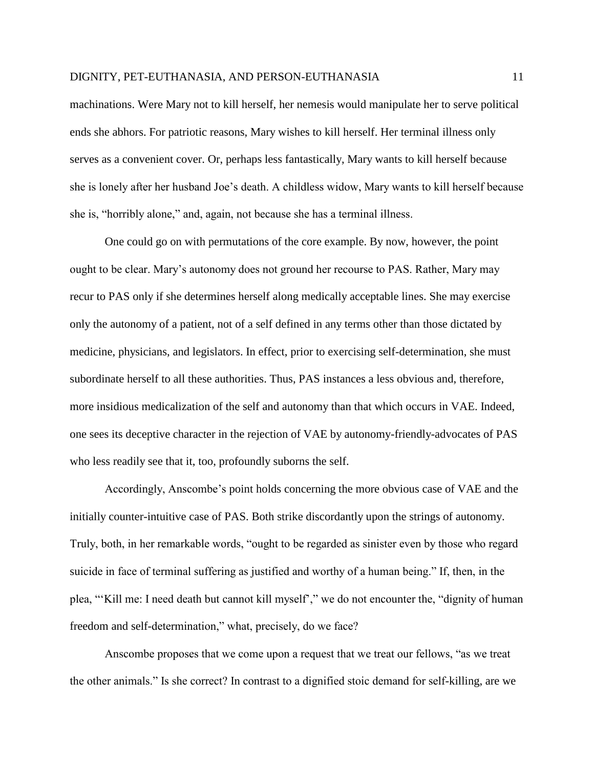machinations. Were Mary not to kill herself, her nemesis would manipulate her to serve political ends she abhors. For patriotic reasons, Mary wishes to kill herself. Her terminal illness only serves as a convenient cover. Or, perhaps less fantastically, Mary wants to kill herself because she is lonely after her husband Joe's death. A childless widow, Mary wants to kill herself because she is, "horribly alone," and, again, not because she has a terminal illness.

One could go on with permutations of the core example. By now, however, the point ought to be clear. Mary's autonomy does not ground her recourse to PAS. Rather, Mary may recur to PAS only if she determines herself along medically acceptable lines. She may exercise only the autonomy of a patient, not of a self defined in any terms other than those dictated by medicine, physicians, and legislators. In effect, prior to exercising self-determination, she must subordinate herself to all these authorities. Thus, PAS instances a less obvious and, therefore, more insidious medicalization of the self and autonomy than that which occurs in VAE. Indeed, one sees its deceptive character in the rejection of VAE by autonomy-friendly-advocates of PAS who less readily see that it, too, profoundly suborns the self.

Accordingly, Anscombe's point holds concerning the more obvious case of VAE and the initially counter-intuitive case of PAS. Both strike discordantly upon the strings of autonomy. Truly, both, in her remarkable words, "ought to be regarded as sinister even by those who regard suicide in face of terminal suffering as justified and worthy of a human being." If, then, in the plea, "'Kill me: I need death but cannot kill myself'," we do not encounter the, "dignity of human freedom and self-determination," what, precisely, do we face?

Anscombe proposes that we come upon a request that we treat our fellows, "as we treat the other animals." Is she correct? In contrast to a dignified stoic demand for self-killing, are we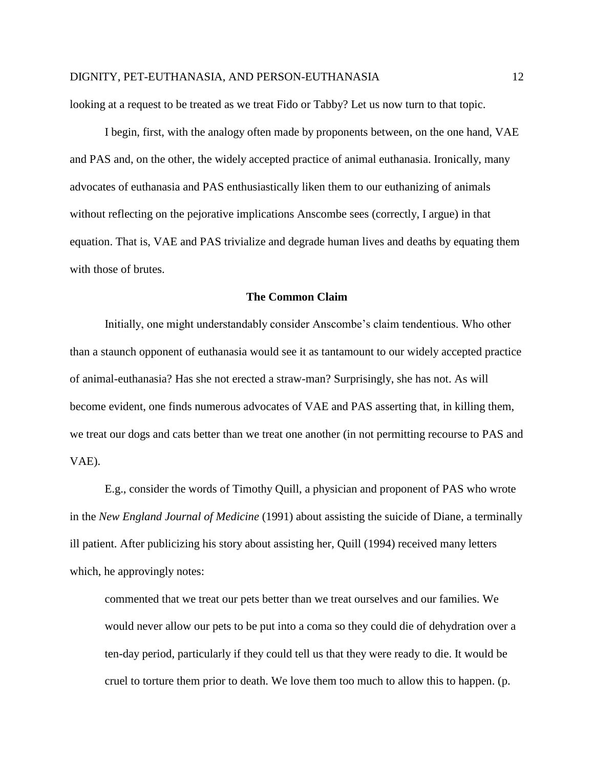looking at a request to be treated as we treat Fido or Tabby? Let us now turn to that topic.

I begin, first, with the analogy often made by proponents between, on the one hand, VAE and PAS and, on the other, the widely accepted practice of animal euthanasia. Ironically, many advocates of euthanasia and PAS enthusiastically liken them to our euthanizing of animals without reflecting on the pejorative implications Anscombe sees (correctly, I argue) in that equation. That is, VAE and PAS trivialize and degrade human lives and deaths by equating them with those of brutes.

#### **The Common Claim**

Initially, one might understandably consider Anscombe's claim tendentious. Who other than a staunch opponent of euthanasia would see it as tantamount to our widely accepted practice of animal-euthanasia? Has she not erected a straw-man? Surprisingly, she has not. As will become evident, one finds numerous advocates of VAE and PAS asserting that, in killing them, we treat our dogs and cats better than we treat one another (in not permitting recourse to PAS and VAE).

E.g., consider the words of Timothy Quill, a physician and proponent of PAS who wrote in the *New England Journal of Medicine* (1991) about assisting the suicide of Diane, a terminally ill patient. After publicizing his story about assisting her, Quill (1994) received many letters which, he approvingly notes:

commented that we treat our pets better than we treat ourselves and our families. We would never allow our pets to be put into a coma so they could die of dehydration over a ten-day period, particularly if they could tell us that they were ready to die. It would be cruel to torture them prior to death. We love them too much to allow this to happen. (p.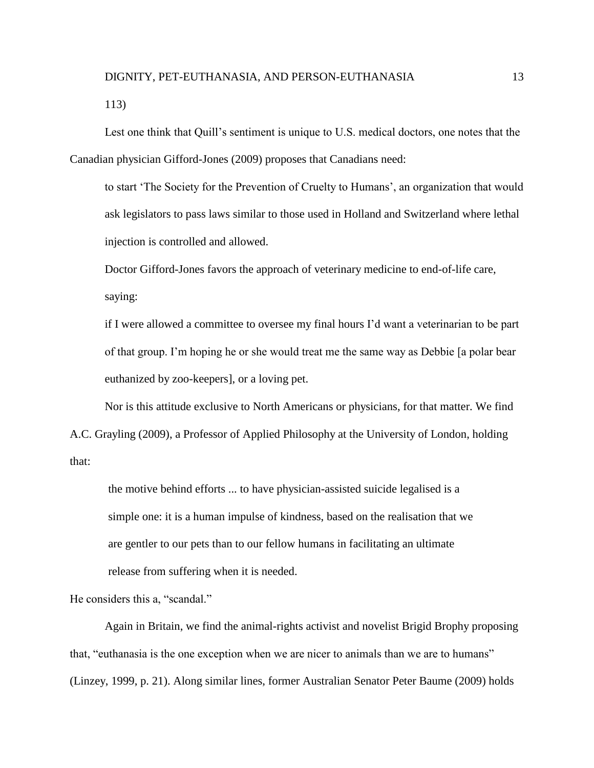113)

Lest one think that Quill's sentiment is unique to U.S. medical doctors, one notes that the Canadian physician Gifford-Jones (2009) proposes that Canadians need:

to start 'The Society for the Prevention of Cruelty to Humans', an organization that would ask legislators to pass laws similar to those used in Holland and Switzerland where lethal injection is controlled and allowed.

Doctor Gifford-Jones favors the approach of veterinary medicine to end-of-life care, saying:

if I were allowed a committee to oversee my final hours I'd want a veterinarian to be part of that group. I'm hoping he or she would treat me the same way as Debbie [a polar bear euthanized by zoo-keepers], or a loving pet.

Nor is this attitude exclusive to North Americans or physicians, for that matter. We find A.C. Grayling (2009), a Professor of Applied Philosophy at the University of London, holding that:

the motive behind efforts ... to have physician-assisted suicide legalised is a simple one: it is a human impulse of kindness, based on the realisation that we are gentler to our pets than to our fellow humans in facilitating an ultimate release from suffering when it is needed.

He considers this a, "scandal."

Again in Britain, we find the animal-rights activist and novelist Brigid Brophy proposing that, "euthanasia is the one exception when we are nicer to animals than we are to humans" (Linzey, 1999, p. 21). Along similar lines, former Australian Senator Peter Baume (2009) holds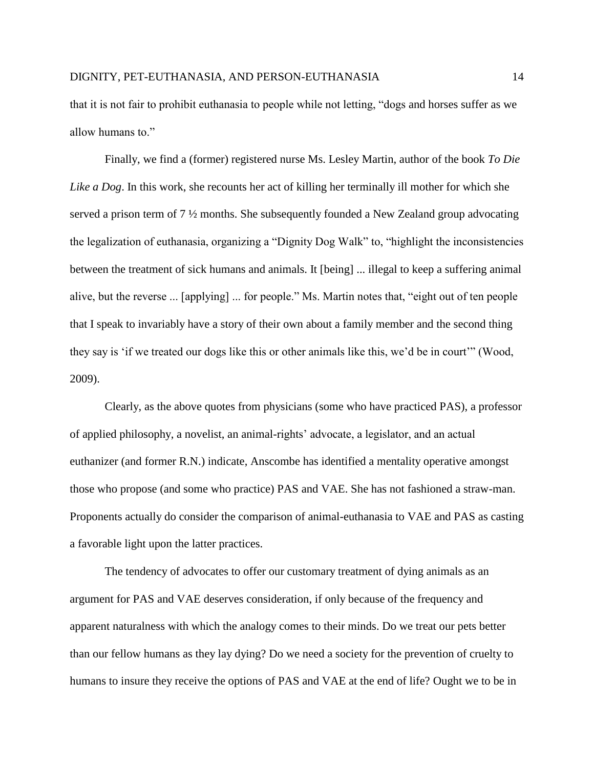that it is not fair to prohibit euthanasia to people while not letting, "dogs and horses suffer as we allow humans to."

Finally, we find a (former) registered nurse Ms. Lesley Martin, author of the book *To Die Like a Dog*. In this work, she recounts her act of killing her terminally ill mother for which she served a prison term of 7 ½ months. She subsequently founded a New Zealand group advocating the legalization of euthanasia, organizing a "Dignity Dog Walk" to, "highlight the inconsistencies between the treatment of sick humans and animals. It [being] ... illegal to keep a suffering animal alive, but the reverse ... [applying] ... for people." Ms. Martin notes that, "eight out of ten people that I speak to invariably have a story of their own about a family member and the second thing they say is 'if we treated our dogs like this or other animals like this, we'd be in court'" (Wood, 2009).

Clearly, as the above quotes from physicians (some who have practiced PAS), a professor of applied philosophy, a novelist, an animal-rights' advocate, a legislator, and an actual euthanizer (and former R.N.) indicate, Anscombe has identified a mentality operative amongst those who propose (and some who practice) PAS and VAE. She has not fashioned a straw-man. Proponents actually do consider the comparison of animal-euthanasia to VAE and PAS as casting a favorable light upon the latter practices.

The tendency of advocates to offer our customary treatment of dying animals as an argument for PAS and VAE deserves consideration, if only because of the frequency and apparent naturalness with which the analogy comes to their minds. Do we treat our pets better than our fellow humans as they lay dying? Do we need a society for the prevention of cruelty to humans to insure they receive the options of PAS and VAE at the end of life? Ought we to be in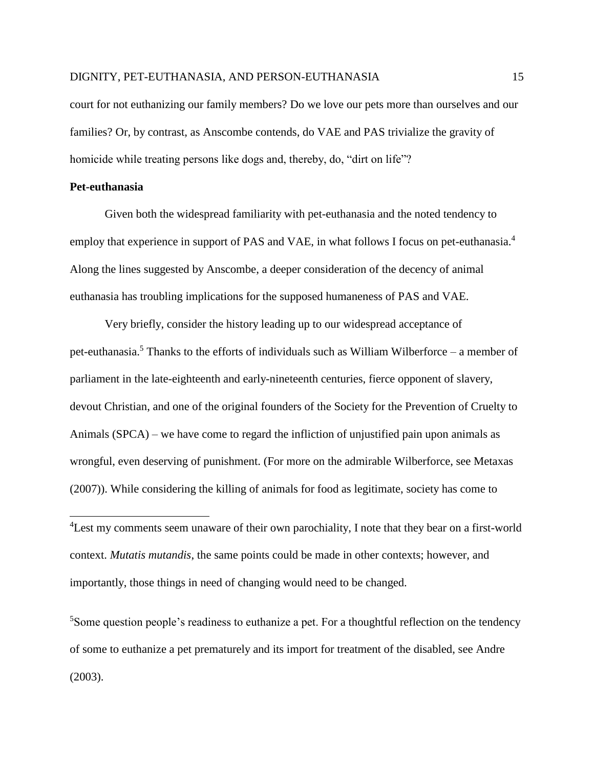court for not euthanizing our family members? Do we love our pets more than ourselves and our families? Or, by contrast, as Anscombe contends, do VAE and PAS trivialize the gravity of homicide while treating persons like dogs and, thereby, do, "dirt on life"?

### **Pet-euthanasia**

 $\overline{a}$ 

Given both the widespread familiarity with pet-euthanasia and the noted tendency to employ that experience in support of PAS and VAE, in what follows I focus on pet-euthanasia.<sup>4</sup> Along the lines suggested by Anscombe, a deeper consideration of the decency of animal euthanasia has troubling implications for the supposed humaneness of PAS and VAE.

Very briefly, consider the history leading up to our widespread acceptance of pet-euthanasia.<sup>5</sup> Thanks to the efforts of individuals such as William Wilberforce – a member of parliament in the late-eighteenth and early-nineteenth centuries, fierce opponent of slavery, devout Christian, and one of the original founders of the Society for the Prevention of Cruelty to Animals (SPCA) – we have come to regard the infliction of unjustified pain upon animals as wrongful, even deserving of punishment. (For more on the admirable Wilberforce, see Metaxas (2007)). While considering the killing of animals for food as legitimate, society has come to

<sup>5</sup>Some question people's readiness to euthanize a pet. For a thoughtful reflection on the tendency of some to euthanize a pet prematurely and its import for treatment of the disabled, see Andre (2003).

<sup>&</sup>lt;sup>4</sup> Lest my comments seem unaware of their own parochiality, I note that they bear on a first-world context. *Mutatis mutandis*, the same points could be made in other contexts; however, and importantly, those things in need of changing would need to be changed.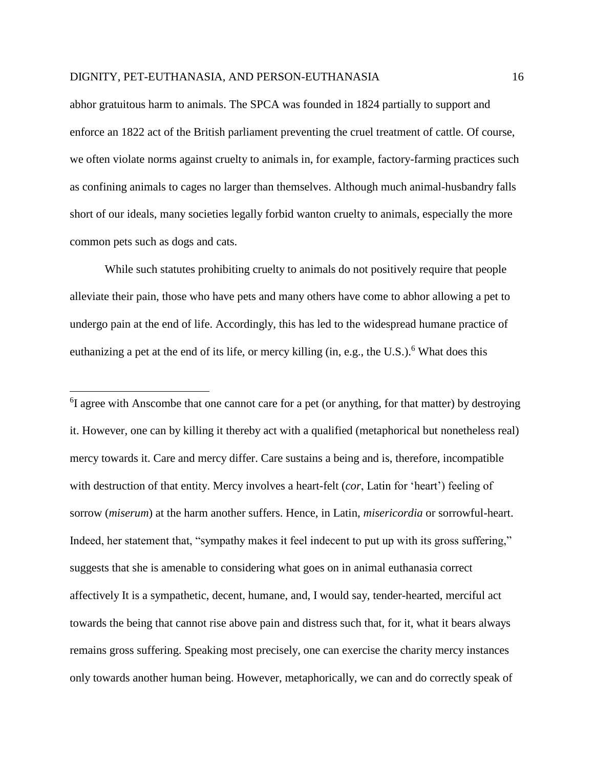$\overline{\phantom{a}}$ 

abhor gratuitous harm to animals. The SPCA was founded in 1824 partially to support and enforce an 1822 act of the British parliament preventing the cruel treatment of cattle. Of course, we often violate norms against cruelty to animals in, for example, factory-farming practices such as confining animals to cages no larger than themselves. Although much animal-husbandry falls short of our ideals, many societies legally forbid wanton cruelty to animals, especially the more common pets such as dogs and cats.

While such statutes prohibiting cruelty to animals do not positively require that people alleviate their pain, those who have pets and many others have come to abhor allowing a pet to undergo pain at the end of life. Accordingly, this has led to the widespread humane practice of euthanizing a pet at the end of its life, or mercy killing (in, e.g., the U.S.).<sup>6</sup> What does this

<sup>6</sup>I agree with Anscombe that one cannot care for a pet (or anything, for that matter) by destroying it. However, one can by killing it thereby act with a qualified (metaphorical but nonetheless real) mercy towards it. Care and mercy differ. Care sustains a being and is, therefore, incompatible with destruction of that entity. Mercy involves a heart-felt (*cor*, Latin for 'heart') feeling of sorrow (*miserum*) at the harm another suffers. Hence, in Latin, *misericordia* or sorrowful-heart. Indeed, her statement that, "sympathy makes it feel indecent to put up with its gross suffering," suggests that she is amenable to considering what goes on in animal euthanasia correct affectively It is a sympathetic, decent, humane, and, I would say, tender-hearted, merciful act towards the being that cannot rise above pain and distress such that, for it, what it bears always remains gross suffering. Speaking most precisely, one can exercise the charity mercy instances only towards another human being. However, metaphorically, we can and do correctly speak of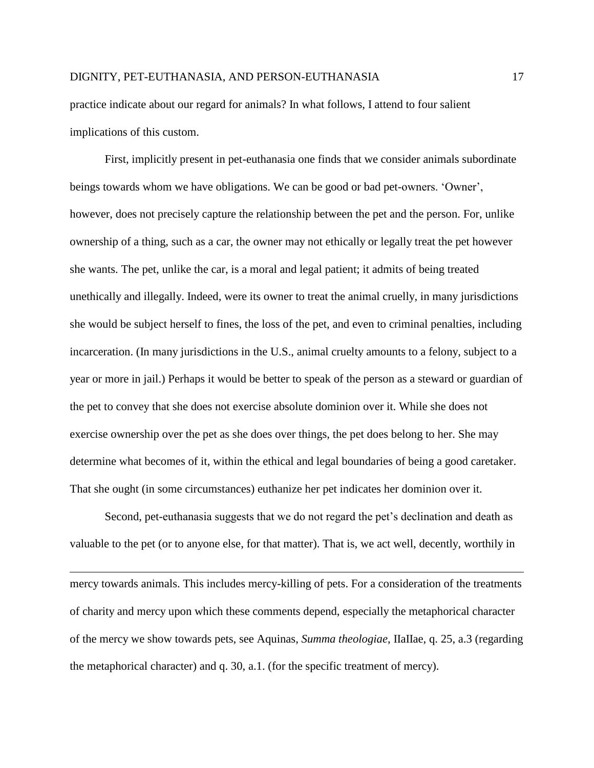practice indicate about our regard for animals? In what follows, I attend to four salient implications of this custom.

First, implicitly present in pet-euthanasia one finds that we consider animals subordinate beings towards whom we have obligations. We can be good or bad pet-owners. 'Owner', however, does not precisely capture the relationship between the pet and the person. For, unlike ownership of a thing, such as a car, the owner may not ethically or legally treat the pet however she wants. The pet, unlike the car, is a moral and legal patient; it admits of being treated unethically and illegally. Indeed, were its owner to treat the animal cruelly, in many jurisdictions she would be subject herself to fines, the loss of the pet, and even to criminal penalties, including incarceration. (In many jurisdictions in the U.S., animal cruelty amounts to a felony, subject to a year or more in jail.) Perhaps it would be better to speak of the person as a steward or guardian of the pet to convey that she does not exercise absolute dominion over it. While she does not exercise ownership over the pet as she does over things, the pet does belong to her. She may determine what becomes of it, within the ethical and legal boundaries of being a good caretaker. That she ought (in some circumstances) euthanize her pet indicates her dominion over it.

Second, pet-euthanasia suggests that we do not regard the pet's declination and death as valuable to the pet (or to anyone else, for that matter). That is, we act well, decently, worthily in

l

mercy towards animals. This includes mercy-killing of pets. For a consideration of the treatments of charity and mercy upon which these comments depend, especially the metaphorical character of the mercy we show towards pets, see Aquinas, *Summa theologiae*, IIaIIae, q. 25, a.3 (regarding the metaphorical character) and q. 30, a.1. (for the specific treatment of mercy).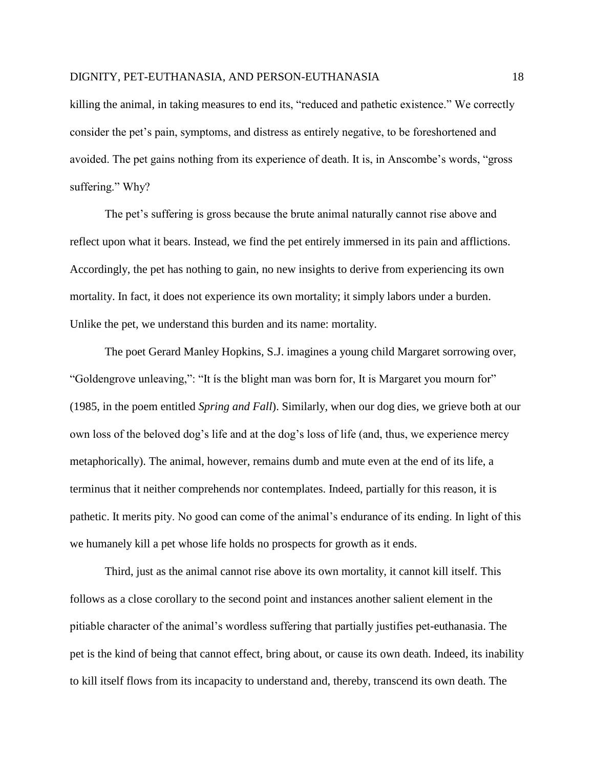killing the animal, in taking measures to end its, "reduced and pathetic existence." We correctly consider the pet's pain, symptoms, and distress as entirely negative, to be foreshortened and avoided. The pet gains nothing from its experience of death. It is, in Anscombe's words, "gross suffering." Why?

The pet's suffering is gross because the brute animal naturally cannot rise above and reflect upon what it bears. Instead, we find the pet entirely immersed in its pain and afflictions. Accordingly, the pet has nothing to gain, no new insights to derive from experiencing its own mortality. In fact, it does not experience its own mortality; it simply labors under a burden. Unlike the pet, we understand this burden and its name: mortality.

The poet Gerard Manley Hopkins, S.J. imagines a young child Margaret sorrowing over, "Goldengrove unleaving,": "It ís the blight man was born for, It is Margaret you mourn for" (1985, in the poem entitled *Spring and Fall*). Similarly, when our dog dies, we grieve both at our own loss of the beloved dog's life and at the dog's loss of life (and, thus, we experience mercy metaphorically). The animal, however, remains dumb and mute even at the end of its life, a terminus that it neither comprehends nor contemplates. Indeed, partially for this reason, it is pathetic. It merits pity. No good can come of the animal's endurance of its ending. In light of this we humanely kill a pet whose life holds no prospects for growth as it ends.

Third, just as the animal cannot rise above its own mortality, it cannot kill itself. This follows as a close corollary to the second point and instances another salient element in the pitiable character of the animal's wordless suffering that partially justifies pet-euthanasia. The pet is the kind of being that cannot effect, bring about, or cause its own death. Indeed, its inability to kill itself flows from its incapacity to understand and, thereby, transcend its own death. The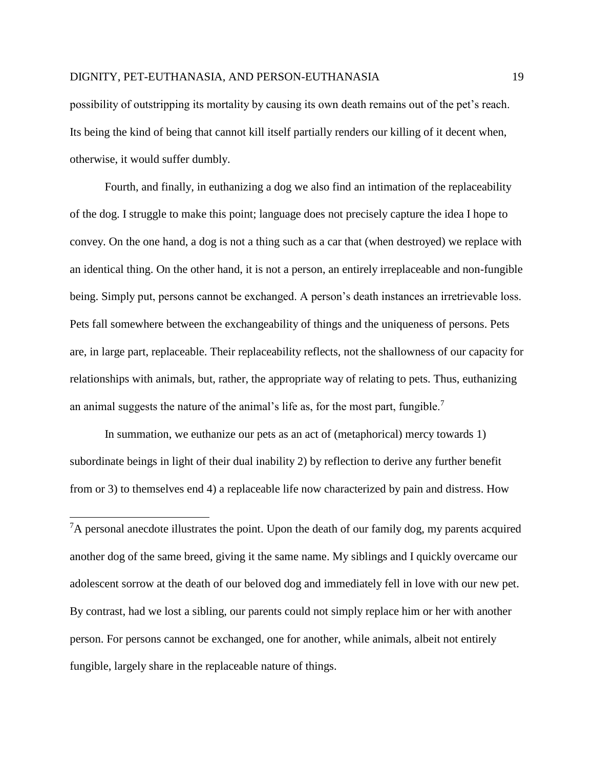possibility of outstripping its mortality by causing its own death remains out of the pet's reach. Its being the kind of being that cannot kill itself partially renders our killing of it decent when, otherwise, it would suffer dumbly.

Fourth, and finally, in euthanizing a dog we also find an intimation of the replaceability of the dog. I struggle to make this point; language does not precisely capture the idea I hope to convey. On the one hand, a dog is not a thing such as a car that (when destroyed) we replace with an identical thing. On the other hand, it is not a person, an entirely irreplaceable and non-fungible being. Simply put, persons cannot be exchanged. A person's death instances an irretrievable loss. Pets fall somewhere between the exchangeability of things and the uniqueness of persons. Pets are, in large part, replaceable. Their replaceability reflects, not the shallowness of our capacity for relationships with animals, but, rather, the appropriate way of relating to pets. Thus, euthanizing an animal suggests the nature of the animal's life as, for the most part, fungible.<sup>7</sup>

In summation, we euthanize our pets as an act of (metaphorical) mercy towards 1) subordinate beings in light of their dual inability 2) by reflection to derive any further benefit from or 3) to themselves end 4) a replaceable life now characterized by pain and distress. How

l

 ${}^{7}A$  personal anecdote illustrates the point. Upon the death of our family dog, my parents acquired another dog of the same breed, giving it the same name. My siblings and I quickly overcame our adolescent sorrow at the death of our beloved dog and immediately fell in love with our new pet. By contrast, had we lost a sibling, our parents could not simply replace him or her with another person. For persons cannot be exchanged, one for another, while animals, albeit not entirely fungible, largely share in the replaceable nature of things.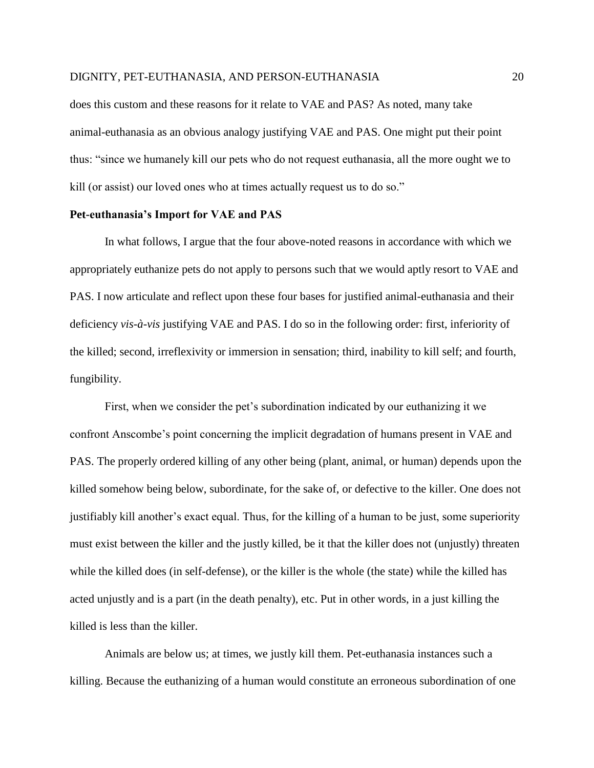does this custom and these reasons for it relate to VAE and PAS? As noted, many take animal-euthanasia as an obvious analogy justifying VAE and PAS. One might put their point thus: "since we humanely kill our pets who do not request euthanasia, all the more ought we to kill (or assist) our loved ones who at times actually request us to do so."

#### **Pet-euthanasia's Import for VAE and PAS**

In what follows, I argue that the four above-noted reasons in accordance with which we appropriately euthanize pets do not apply to persons such that we would aptly resort to VAE and PAS. I now articulate and reflect upon these four bases for justified animal-euthanasia and their deficiency *vis-à-vis* justifying VAE and PAS. I do so in the following order: first, inferiority of the killed; second, irreflexivity or immersion in sensation; third, inability to kill self; and fourth, fungibility.

First, when we consider the pet's subordination indicated by our euthanizing it we confront Anscombe's point concerning the implicit degradation of humans present in VAE and PAS. The properly ordered killing of any other being (plant, animal, or human) depends upon the killed somehow being below, subordinate, for the sake of, or defective to the killer. One does not justifiably kill another's exact equal. Thus, for the killing of a human to be just, some superiority must exist between the killer and the justly killed, be it that the killer does not (unjustly) threaten while the killed does (in self-defense), or the killer is the whole (the state) while the killed has acted unjustly and is a part (in the death penalty), etc. Put in other words, in a just killing the killed is less than the killer.

Animals are below us; at times, we justly kill them. Pet-euthanasia instances such a killing. Because the euthanizing of a human would constitute an erroneous subordination of one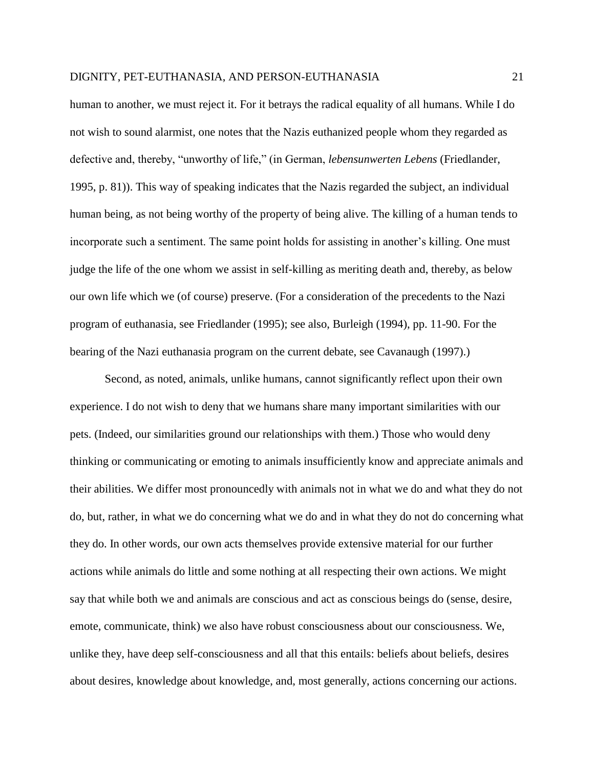human to another, we must reject it. For it betrays the radical equality of all humans. While I do not wish to sound alarmist, one notes that the Nazis euthanized people whom they regarded as defective and, thereby, "unworthy of life," (in German, *lebensunwerten Lebens* (Friedlander, 1995, p. 81)). This way of speaking indicates that the Nazis regarded the subject, an individual human being, as not being worthy of the property of being alive. The killing of a human tends to incorporate such a sentiment. The same point holds for assisting in another's killing. One must judge the life of the one whom we assist in self-killing as meriting death and, thereby, as below our own life which we (of course) preserve. (For a consideration of the precedents to the Nazi program of euthanasia, see Friedlander (1995); see also, Burleigh (1994), pp. 11-90. For the bearing of the Nazi euthanasia program on the current debate, see Cavanaugh (1997).)

Second, as noted, animals, unlike humans, cannot significantly reflect upon their own experience. I do not wish to deny that we humans share many important similarities with our pets. (Indeed, our similarities ground our relationships with them.) Those who would deny thinking or communicating or emoting to animals insufficiently know and appreciate animals and their abilities. We differ most pronouncedly with animals not in what we do and what they do not do, but, rather, in what we do concerning what we do and in what they do not do concerning what they do. In other words, our own acts themselves provide extensive material for our further actions while animals do little and some nothing at all respecting their own actions. We might say that while both we and animals are conscious and act as conscious beings do (sense, desire, emote, communicate, think) we also have robust consciousness about our consciousness. We, unlike they, have deep self-consciousness and all that this entails: beliefs about beliefs, desires about desires, knowledge about knowledge, and, most generally, actions concerning our actions.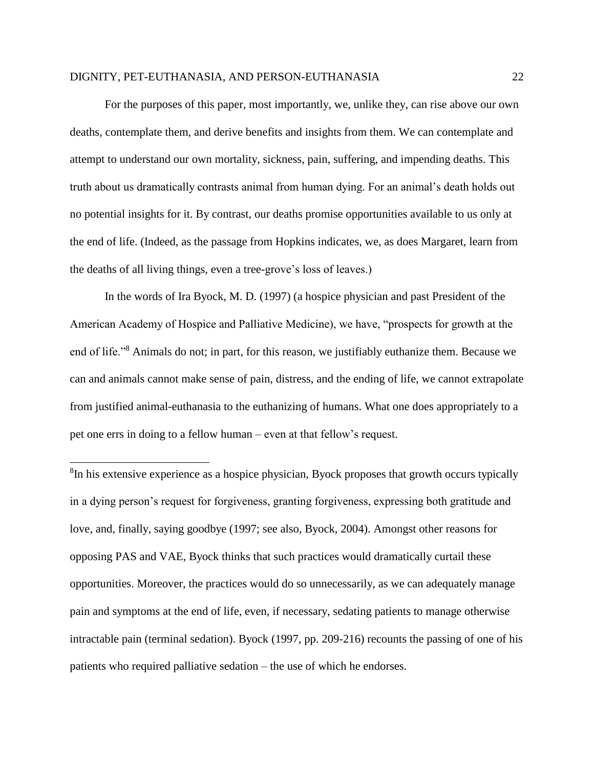l

For the purposes of this paper, most importantly, we, unlike they, can rise above our own deaths, contemplate them, and derive benefits and insights from them. We can contemplate and attempt to understand our own mortality, sickness, pain, suffering, and impending deaths. This truth about us dramatically contrasts animal from human dying. For an animal's death holds out no potential insights for it. By contrast, our deaths promise opportunities available to us only at the end of life. (Indeed, as the passage from Hopkins indicates, we, as does Margaret, learn from the deaths of all living things, even a tree-grove's loss of leaves.)

In the words of Ira Byock, M. D. (1997) (a hospice physician and past President of the American Academy of Hospice and Palliative Medicine), we have, "prospects for growth at the end of life."<sup>8</sup> Animals do not; in part, for this reason, we justifiably euthanize them. Because we can and animals cannot make sense of pain, distress, and the ending of life, we cannot extrapolate from justified animal-euthanasia to the euthanizing of humans. What one does appropriately to a pet one errs in doing to a fellow human – even at that fellow's request.

<sup>8</sup>In his extensive experience as a hospice physician, Byock proposes that growth occurs typically in a dying person's request for forgiveness, granting forgiveness, expressing both gratitude and love, and, finally, saying goodbye (1997; see also, Byock, 2004). Amongst other reasons for opposing PAS and VAE, Byock thinks that such practices would dramatically curtail these opportunities. Moreover, the practices would do so unnecessarily, as we can adequately manage pain and symptoms at the end of life, even, if necessary, sedating patients to manage otherwise intractable pain (terminal sedation). Byock (1997, pp. 209-216) recounts the passing of one of his patients who required palliative sedation – the use of which he endorses.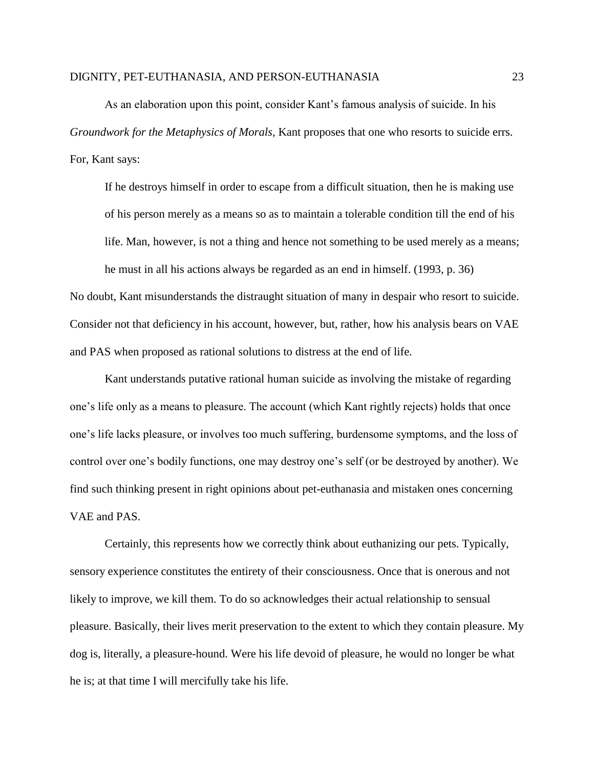As an elaboration upon this point, consider Kant's famous analysis of suicide. In his *Groundwork for the Metaphysics of Morals*, Kant proposes that one who resorts to suicide errs. For, Kant says:

If he destroys himself in order to escape from a difficult situation, then he is making use of his person merely as a means so as to maintain a tolerable condition till the end of his life. Man, however, is not a thing and hence not something to be used merely as a means; he must in all his actions always be regarded as an end in himself. (1993, p. 36)

No doubt, Kant misunderstands the distraught situation of many in despair who resort to suicide. Consider not that deficiency in his account, however, but, rather, how his analysis bears on VAE and PAS when proposed as rational solutions to distress at the end of life.

Kant understands putative rational human suicide as involving the mistake of regarding one's life only as a means to pleasure. The account (which Kant rightly rejects) holds that once one's life lacks pleasure, or involves too much suffering, burdensome symptoms, and the loss of control over one's bodily functions, one may destroy one's self (or be destroyed by another). We find such thinking present in right opinions about pet-euthanasia and mistaken ones concerning VAE and PAS.

Certainly, this represents how we correctly think about euthanizing our pets. Typically, sensory experience constitutes the entirety of their consciousness. Once that is onerous and not likely to improve, we kill them. To do so acknowledges their actual relationship to sensual pleasure. Basically, their lives merit preservation to the extent to which they contain pleasure. My dog is, literally, a pleasure-hound. Were his life devoid of pleasure, he would no longer be what he is; at that time I will mercifully take his life.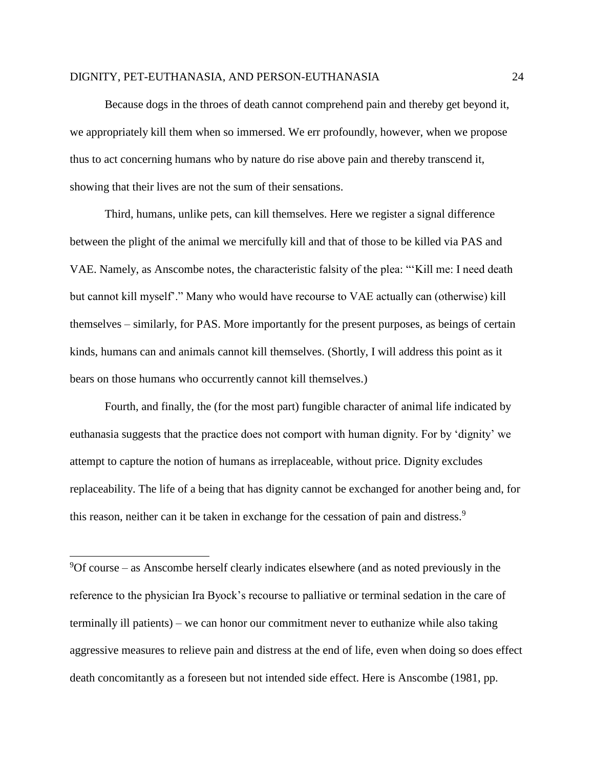Because dogs in the throes of death cannot comprehend pain and thereby get beyond it, we appropriately kill them when so immersed. We err profoundly, however, when we propose thus to act concerning humans who by nature do rise above pain and thereby transcend it, showing that their lives are not the sum of their sensations.

Third, humans, unlike pets, can kill themselves. Here we register a signal difference between the plight of the animal we mercifully kill and that of those to be killed via PAS and VAE. Namely, as Anscombe notes, the characteristic falsity of the plea: "'Kill me: I need death but cannot kill myself'." Many who would have recourse to VAE actually can (otherwise) kill themselves – similarly, for PAS. More importantly for the present purposes, as beings of certain kinds, humans can and animals cannot kill themselves. (Shortly, I will address this point as it bears on those humans who occurrently cannot kill themselves.)

Fourth, and finally, the (for the most part) fungible character of animal life indicated by euthanasia suggests that the practice does not comport with human dignity. For by 'dignity' we attempt to capture the notion of humans as irreplaceable, without price. Dignity excludes replaceability. The life of a being that has dignity cannot be exchanged for another being and, for this reason, neither can it be taken in exchange for the cessation of pain and distress.<sup>9</sup>

 $9^9$ Of course – as Anscombe herself clearly indicates elsewhere (and as noted previously in the reference to the physician Ira Byock's recourse to palliative or terminal sedation in the care of terminally ill patients) – we can honor our commitment never to euthanize while also taking aggressive measures to relieve pain and distress at the end of life, even when doing so does effect death concomitantly as a foreseen but not intended side effect. Here is Anscombe (1981, pp.

 $\overline{\phantom{a}}$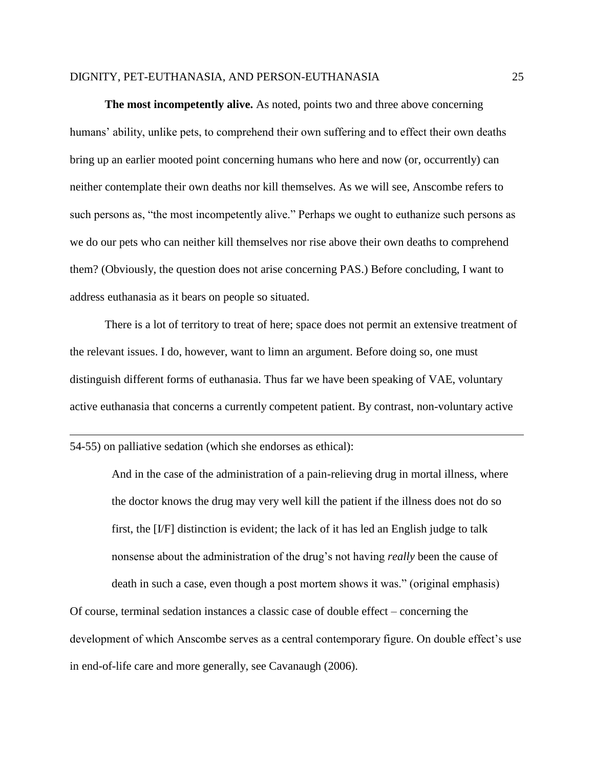**The most incompetently alive.** As noted, points two and three above concerning humans' ability, unlike pets, to comprehend their own suffering and to effect their own deaths bring up an earlier mooted point concerning humans who here and now (or, occurrently) can neither contemplate their own deaths nor kill themselves. As we will see, Anscombe refers to such persons as, "the most incompetently alive." Perhaps we ought to euthanize such persons as we do our pets who can neither kill themselves nor rise above their own deaths to comprehend them? (Obviously, the question does not arise concerning PAS.) Before concluding, I want to address euthanasia as it bears on people so situated.

There is a lot of territory to treat of here; space does not permit an extensive treatment of the relevant issues. I do, however, want to limn an argument. Before doing so, one must distinguish different forms of euthanasia. Thus far we have been speaking of VAE, voluntary active euthanasia that concerns a currently competent patient. By contrast, non-voluntary active

54-55) on palliative sedation (which she endorses as ethical):

 $\overline{\phantom{a}}$ 

And in the case of the administration of a pain-relieving drug in mortal illness, where the doctor knows the drug may very well kill the patient if the illness does not do so first, the [I/F] distinction is evident; the lack of it has led an English judge to talk nonsense about the administration of the drug's not having *really* been the cause of

death in such a case, even though a post mortem shows it was." (original emphasis)

Of course, terminal sedation instances a classic case of double effect – concerning the development of which Anscombe serves as a central contemporary figure. On double effect's use in end-of-life care and more generally, see Cavanaugh (2006).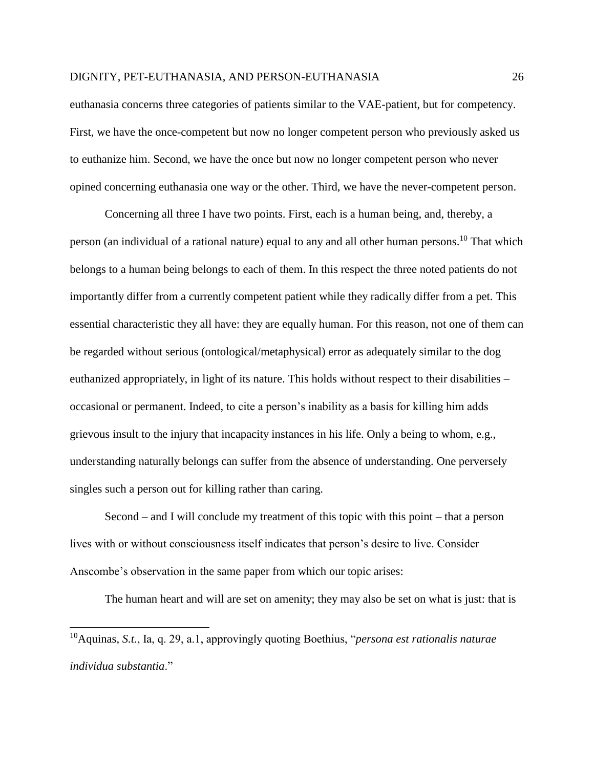euthanasia concerns three categories of patients similar to the VAE-patient, but for competency. First, we have the once-competent but now no longer competent person who previously asked us to euthanize him. Second, we have the once but now no longer competent person who never opined concerning euthanasia one way or the other. Third, we have the never-competent person.

Concerning all three I have two points. First, each is a human being, and, thereby, a person (an individual of a rational nature) equal to any and all other human persons.<sup>10</sup> That which belongs to a human being belongs to each of them. In this respect the three noted patients do not importantly differ from a currently competent patient while they radically differ from a pet. This essential characteristic they all have: they are equally human. For this reason, not one of them can be regarded without serious (ontological/metaphysical) error as adequately similar to the dog euthanized appropriately, in light of its nature. This holds without respect to their disabilities – occasional or permanent. Indeed, to cite a person's inability as a basis for killing him adds grievous insult to the injury that incapacity instances in his life. Only a being to whom, e.g., understanding naturally belongs can suffer from the absence of understanding. One perversely singles such a person out for killing rather than caring.

Second – and I will conclude my treatment of this topic with this point – that a person lives with or without consciousness itself indicates that person's desire to live. Consider Anscombe's observation in the same paper from which our topic arises:

The human heart and will are set on amenity; they may also be set on what is just: that is

<sup>10</sup>Aquinas, *S.t.*, Ia, q. 29, a.1, approvingly quoting Boethius, "*persona est rationalis naturae individua substantia*."

 $\overline{\phantom{a}}$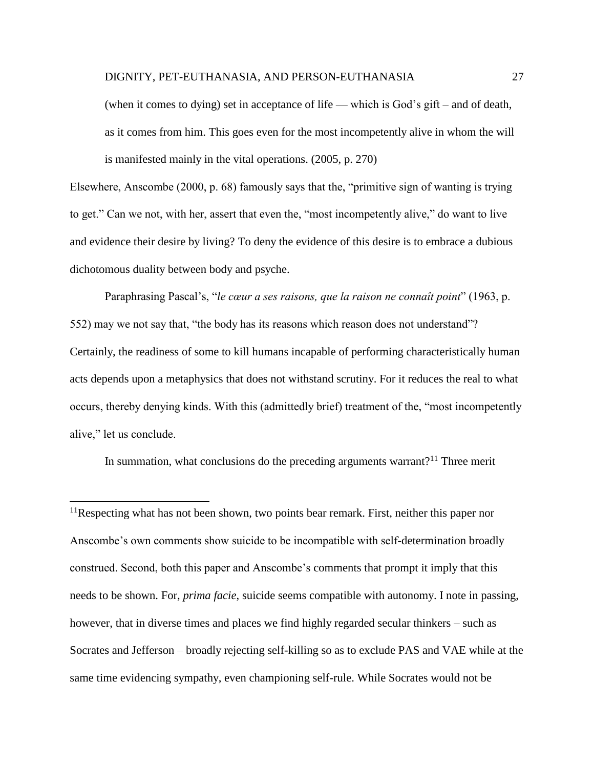(when it comes to dying) set in acceptance of life — which is God's gift – and of death, as it comes from him. This goes even for the most incompetently alive in whom the will is manifested mainly in the vital operations. (2005, p. 270)

Elsewhere, Anscombe (2000, p. 68) famously says that the, "primitive sign of wanting is trying to get." Can we not, with her, assert that even the, "most incompetently alive," do want to live and evidence their desire by living? To deny the evidence of this desire is to embrace a dubious dichotomous duality between body and psyche.

Paraphrasing Pascal's, "*le cœur a ses raisons, que la raison ne connaît point*" (1963, p. 552) may we not say that, "the body has its reasons which reason does not understand"? Certainly, the readiness of some to kill humans incapable of performing characteristically human acts depends upon a metaphysics that does not withstand scrutiny. For it reduces the real to what occurs, thereby denying kinds. With this (admittedly brief) treatment of the, "most incompetently alive," let us conclude.

In summation, what conclusions do the preceding arguments warrant?<sup>11</sup> Three merit

 $\overline{\phantom{a}}$ 

 $11$ Respecting what has not been shown, two points bear remark. First, neither this paper nor Anscombe's own comments show suicide to be incompatible with self-determination broadly construed. Second, both this paper and Anscombe's comments that prompt it imply that this needs to be shown. For, *prima facie*, suicide seems compatible with autonomy. I note in passing, however, that in diverse times and places we find highly regarded secular thinkers – such as Socrates and Jefferson – broadly rejecting self-killing so as to exclude PAS and VAE while at the same time evidencing sympathy, even championing self-rule. While Socrates would not be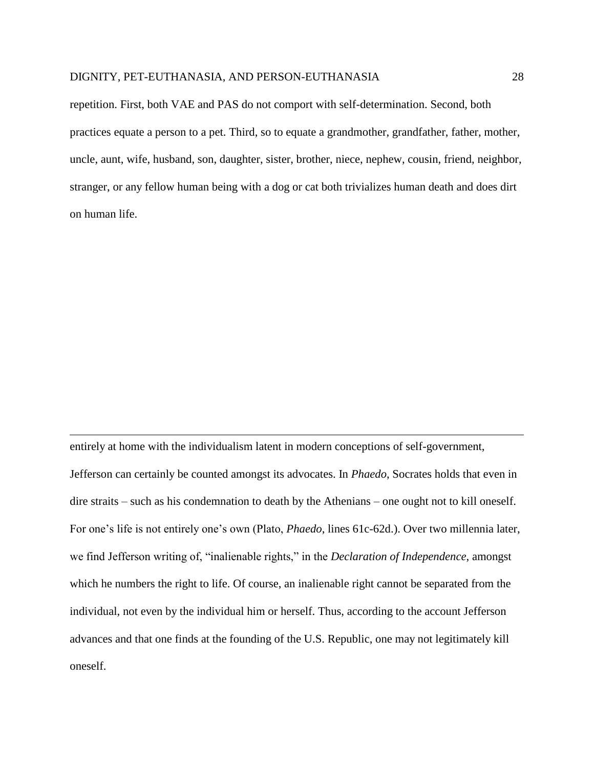$\overline{\phantom{a}}$ 

repetition. First, both VAE and PAS do not comport with self-determination. Second, both practices equate a person to a pet. Third, so to equate a grandmother, grandfather, father, mother, uncle, aunt, wife, husband, son, daughter, sister, brother, niece, nephew, cousin, friend, neighbor, stranger, or any fellow human being with a dog or cat both trivializes human death and does dirt on human life.

entirely at home with the individualism latent in modern conceptions of self-government, Jefferson can certainly be counted amongst its advocates. In *Phaedo*, Socrates holds that even in dire straits – such as his condemnation to death by the Athenians – one ought not to kill oneself. For one's life is not entirely one's own (Plato, *Phaedo*, lines 61c-62d.). Over two millennia later, we find Jefferson writing of, "inalienable rights," in the *Declaration of Independence*, amongst which he numbers the right to life. Of course, an inalienable right cannot be separated from the individual, not even by the individual him or herself. Thus, according to the account Jefferson advances and that one finds at the founding of the U.S. Republic, one may not legitimately kill oneself.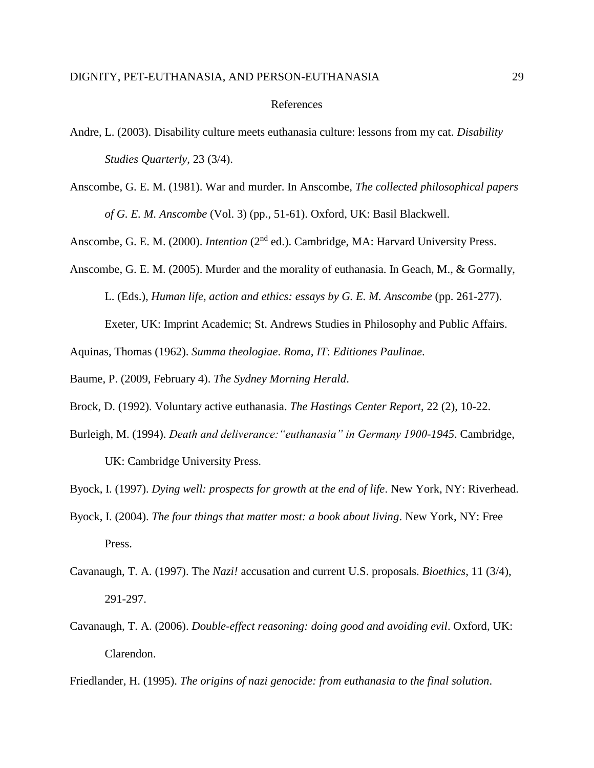#### References

Anscombe, G. E. M. (1981). War and murder. In Anscombe, *The collected philosophical papers of G. E. M. Anscombe* (Vol. 3) (pp., 51-61). Oxford, UK: Basil Blackwell.

Anscombe, G. E. M. (2000). *Intention* (2<sup>nd</sup> ed.). Cambridge, MA: Harvard University Press.

Anscombe, G. E. M. (2005). Murder and the morality of euthanasia. In Geach, M., & Gormally, L. (Eds.), *Human life, action and ethics: essays by G. E. M. Anscombe* (pp. 261-277). Exeter, UK: Imprint Academic; St. Andrews Studies in Philosophy and Public Affairs.

Aquinas, Thomas (1962). *Summa theologiae*. *Roma, IT*: *Editiones Paulinae*.

Baume, P. (2009, February 4). *The Sydney Morning Herald*.

Brock, D. (1992). Voluntary active euthanasia. *The Hastings Center Report*, 22 (2), 10-22.

Burleigh, M. (1994). *Death and deliverance:"euthanasia" in Germany 1900-1945*. Cambridge, UK: Cambridge University Press.

Byock, I. (1997). *Dying well: prospects for growth at the end of life*. New York, NY: Riverhead.

- Byock, I. (2004). *The four things that matter most: a book about living*. New York, NY: Free Press.
- Cavanaugh, T. A. (1997). The *Nazi!* accusation and current U.S. proposals. *Bioethics*, 11 (3/4), 291-297.
- Cavanaugh, T. A. (2006). *Double-effect reasoning: doing good and avoiding evil*. Oxford, UK: Clarendon.

Friedlander, H. (1995). *The origins of nazi genocide: from euthanasia to the final solution*.

Andre, L. (2003). Disability culture meets euthanasia culture: lessons from my cat. *Disability Studies Quarterly*, 23 (3/4).